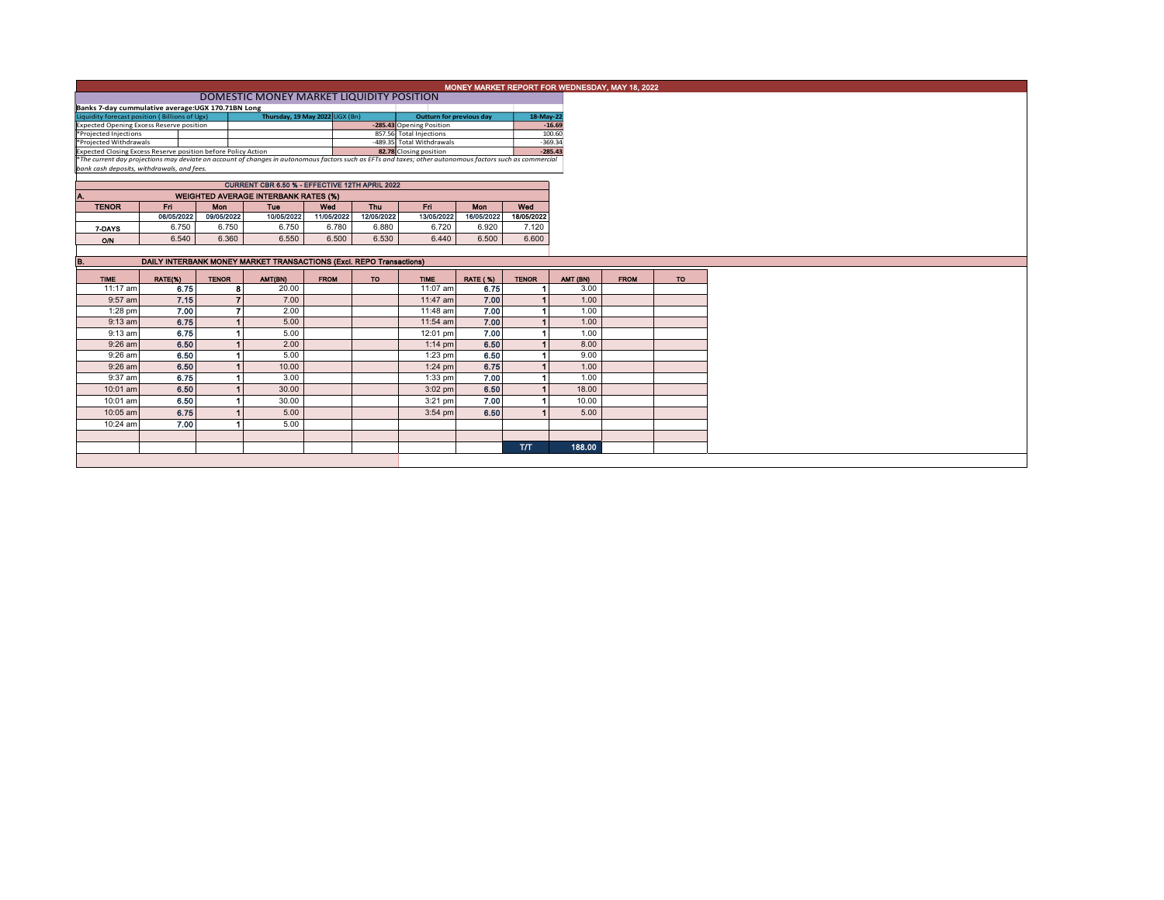| DOMESTIC MONEY MARKET LIQUIDITY POSITION                                        |                                                                |                                                                              |                                                                                                                                                                       |                                                                                   |                                  |                                                                                                                                                                                                                                                                                                                             |                                                                                            |                                     |                                                                                                                                                                                                                                                                                      |  |  |
|---------------------------------------------------------------------------------|----------------------------------------------------------------|------------------------------------------------------------------------------|-----------------------------------------------------------------------------------------------------------------------------------------------------------------------|-----------------------------------------------------------------------------------|----------------------------------|-----------------------------------------------------------------------------------------------------------------------------------------------------------------------------------------------------------------------------------------------------------------------------------------------------------------------------|--------------------------------------------------------------------------------------------|-------------------------------------|--------------------------------------------------------------------------------------------------------------------------------------------------------------------------------------------------------------------------------------------------------------------------------------|--|--|
| Banks 7-day cummulative average:UGX 170.71BN Long                               |                                                                |                                                                              |                                                                                                                                                                       |                                                                                   |                                  |                                                                                                                                                                                                                                                                                                                             |                                                                                            |                                     |                                                                                                                                                                                                                                                                                      |  |  |
| Liquidity forecast position (Billions of Ugx)<br>Thursday, 19 May 2022 UGX (Bn) |                                                                |                                                                              |                                                                                                                                                                       |                                                                                   |                                  |                                                                                                                                                                                                                                                                                                                             |                                                                                            |                                     |                                                                                                                                                                                                                                                                                      |  |  |
| <b>Expected Opening Excess Reserve position</b>                                 |                                                                |                                                                              |                                                                                                                                                                       |                                                                                   |                                  |                                                                                                                                                                                                                                                                                                                             |                                                                                            |                                     |                                                                                                                                                                                                                                                                                      |  |  |
| *Projected Injections                                                           |                                                                |                                                                              |                                                                                                                                                                       |                                                                                   |                                  |                                                                                                                                                                                                                                                                                                                             |                                                                                            |                                     |                                                                                                                                                                                                                                                                                      |  |  |
| *Projected Withdrawals                                                          |                                                                |                                                                              |                                                                                                                                                                       |                                                                                   |                                  |                                                                                                                                                                                                                                                                                                                             |                                                                                            |                                     |                                                                                                                                                                                                                                                                                      |  |  |
|                                                                                 |                                                                |                                                                              |                                                                                                                                                                       |                                                                                   |                                  |                                                                                                                                                                                                                                                                                                                             |                                                                                            |                                     |                                                                                                                                                                                                                                                                                      |  |  |
|                                                                                 |                                                                |                                                                              |                                                                                                                                                                       |                                                                                   |                                  |                                                                                                                                                                                                                                                                                                                             |                                                                                            |                                     |                                                                                                                                                                                                                                                                                      |  |  |
|                                                                                 |                                                                |                                                                              |                                                                                                                                                                       |                                                                                   |                                  |                                                                                                                                                                                                                                                                                                                             |                                                                                            |                                     |                                                                                                                                                                                                                                                                                      |  |  |
|                                                                                 |                                                                |                                                                              |                                                                                                                                                                       |                                                                                   |                                  |                                                                                                                                                                                                                                                                                                                             |                                                                                            |                                     |                                                                                                                                                                                                                                                                                      |  |  |
|                                                                                 |                                                                |                                                                              |                                                                                                                                                                       |                                                                                   |                                  |                                                                                                                                                                                                                                                                                                                             |                                                                                            |                                     |                                                                                                                                                                                                                                                                                      |  |  |
| Fn.                                                                             | Mon                                                            | Tue                                                                          | Wed                                                                                                                                                                   | Thu                                                                               | Fn.                              | Mon                                                                                                                                                                                                                                                                                                                         | Wed                                                                                        |                                     |                                                                                                                                                                                                                                                                                      |  |  |
|                                                                                 |                                                                |                                                                              |                                                                                                                                                                       |                                                                                   |                                  |                                                                                                                                                                                                                                                                                                                             |                                                                                            |                                     |                                                                                                                                                                                                                                                                                      |  |  |
|                                                                                 |                                                                |                                                                              |                                                                                                                                                                       |                                                                                   |                                  |                                                                                                                                                                                                                                                                                                                             |                                                                                            |                                     |                                                                                                                                                                                                                                                                                      |  |  |
| 6.540                                                                           |                                                                | 6.550                                                                        | 6.500                                                                                                                                                                 | 6.530                                                                             | 6.440                            | 6.500                                                                                                                                                                                                                                                                                                                       | 6.600                                                                                      |                                     |                                                                                                                                                                                                                                                                                      |  |  |
|                                                                                 |                                                                |                                                                              |                                                                                                                                                                       |                                                                                   |                                  |                                                                                                                                                                                                                                                                                                                             |                                                                                            |                                     |                                                                                                                                                                                                                                                                                      |  |  |
|                                                                                 |                                                                |                                                                              |                                                                                                                                                                       |                                                                                   |                                  |                                                                                                                                                                                                                                                                                                                             |                                                                                            |                                     |                                                                                                                                                                                                                                                                                      |  |  |
|                                                                                 |                                                                |                                                                              |                                                                                                                                                                       |                                                                                   |                                  |                                                                                                                                                                                                                                                                                                                             |                                                                                            |                                     |                                                                                                                                                                                                                                                                                      |  |  |
|                                                                                 |                                                                |                                                                              |                                                                                                                                                                       |                                                                                   |                                  |                                                                                                                                                                                                                                                                                                                             |                                                                                            |                                     |                                                                                                                                                                                                                                                                                      |  |  |
|                                                                                 |                                                                |                                                                              |                                                                                                                                                                       |                                                                                   |                                  |                                                                                                                                                                                                                                                                                                                             |                                                                                            |                                     |                                                                                                                                                                                                                                                                                      |  |  |
|                                                                                 |                                                                |                                                                              |                                                                                                                                                                       |                                                                                   |                                  |                                                                                                                                                                                                                                                                                                                             |                                                                                            |                                     |                                                                                                                                                                                                                                                                                      |  |  |
|                                                                                 |                                                                |                                                                              |                                                                                                                                                                       |                                                                                   |                                  |                                                                                                                                                                                                                                                                                                                             |                                                                                            |                                     |                                                                                                                                                                                                                                                                                      |  |  |
|                                                                                 |                                                                |                                                                              |                                                                                                                                                                       |                                                                                   |                                  | 7.00                                                                                                                                                                                                                                                                                                                        |                                                                                            |                                     |                                                                                                                                                                                                                                                                                      |  |  |
| 6.75                                                                            |                                                                |                                                                              |                                                                                                                                                                       |                                                                                   |                                  |                                                                                                                                                                                                                                                                                                                             |                                                                                            |                                     |                                                                                                                                                                                                                                                                                      |  |  |
|                                                                                 |                                                                | 5.00                                                                         |                                                                                                                                                                       |                                                                                   | 12:01 pm                         | 7.00                                                                                                                                                                                                                                                                                                                        |                                                                                            |                                     |                                                                                                                                                                                                                                                                                      |  |  |
| 6.50                                                                            |                                                                | 2.00                                                                         |                                                                                                                                                                       |                                                                                   | $1:14$ pm                        | 6.50                                                                                                                                                                                                                                                                                                                        |                                                                                            |                                     |                                                                                                                                                                                                                                                                                      |  |  |
| 6.50                                                                            |                                                                | 5.00                                                                         |                                                                                                                                                                       |                                                                                   | $1:23$ pm                        | 6.50                                                                                                                                                                                                                                                                                                                        |                                                                                            |                                     |                                                                                                                                                                                                                                                                                      |  |  |
| 6.50                                                                            |                                                                | 10.00                                                                        |                                                                                                                                                                       |                                                                                   | $1:24$ pm                        | 6.75                                                                                                                                                                                                                                                                                                                        |                                                                                            |                                     |                                                                                                                                                                                                                                                                                      |  |  |
|                                                                                 |                                                                | 3.00                                                                         |                                                                                                                                                                       |                                                                                   | $1:33$ pm                        |                                                                                                                                                                                                                                                                                                                             |                                                                                            |                                     |                                                                                                                                                                                                                                                                                      |  |  |
| 6.75                                                                            |                                                                |                                                                              |                                                                                                                                                                       |                                                                                   |                                  | 7.00                                                                                                                                                                                                                                                                                                                        |                                                                                            |                                     |                                                                                                                                                                                                                                                                                      |  |  |
| 6.50                                                                            |                                                                | 30.00                                                                        |                                                                                                                                                                       |                                                                                   | $3:02$ pm                        | 6.50                                                                                                                                                                                                                                                                                                                        |                                                                                            |                                     |                                                                                                                                                                                                                                                                                      |  |  |
| 6.50                                                                            |                                                                | 30.00                                                                        |                                                                                                                                                                       |                                                                                   | $3:21$ pm                        | 7.00                                                                                                                                                                                                                                                                                                                        |                                                                                            |                                     |                                                                                                                                                                                                                                                                                      |  |  |
| 6.75                                                                            |                                                                | 5.00                                                                         |                                                                                                                                                                       |                                                                                   | $3:54$ pm                        | 6.50                                                                                                                                                                                                                                                                                                                        |                                                                                            |                                     |                                                                                                                                                                                                                                                                                      |  |  |
| 7.00                                                                            |                                                                | 5.00                                                                         |                                                                                                                                                                       |                                                                                   |                                  |                                                                                                                                                                                                                                                                                                                             |                                                                                            |                                     |                                                                                                                                                                                                                                                                                      |  |  |
|                                                                                 |                                                                |                                                                              |                                                                                                                                                                       |                                                                                   |                                  |                                                                                                                                                                                                                                                                                                                             |                                                                                            |                                     |                                                                                                                                                                                                                                                                                      |  |  |
| 11:17 am                                                                        | 06/05/2022<br>6.750<br>RATE(%)<br>6.75<br>7.15<br>7.00<br>6.75 | bank cash deposits, withdrawals, and fees.<br>6.750<br>6.360<br><b>TENOR</b> | Expected Closing Excess Reserve position before Policy Action<br>09/05/2022<br>10/05/2022<br>6.750<br>AMT(BN)<br>8<br>20.00<br>$\overline{7}$<br>7.00<br>2.00<br>5.00 | <b>WEIGHTED AVERAGE INTERBANK RATES (%)</b><br>11/05/2022<br>6.780<br><b>FROM</b> | 12/05/2022<br>6.880<br><b>TO</b> | -285.43 Opening Position<br>857.56 Total Injections<br>-489.35 Total Withdrawals<br>82.78 Closing position<br>CURRENT CBR 6.50 % - EFFECTIVE 12TH APRIL 2022<br>13/05/2022<br>6.720<br>DAILY INTERBANK MONEY MARKET TRANSACTIONS (Excl. REPO Transactions)<br><b>TIME</b><br>11:07 am<br>11:47 am<br>11:48 am<br>$11:54$ am | Outturn for previous day<br>16/05/2022<br>6.920<br><b>RATE (%)</b><br>6.75<br>7.00<br>7.00 | 18/05/2022<br>7.120<br><b>TENOR</b> | MONEY MARKET REPORT FOR WEDNESDAY, MAY 18, 2022<br>18-May-22<br>$-16.69$<br>100.60<br>$-369.34$<br>$-285.43$<br>*The current day projections may deviate on account of changes in autonomous factors such as EFTs and taxes; other autonomous factors such as commercial<br>AMT (BN) |  |  |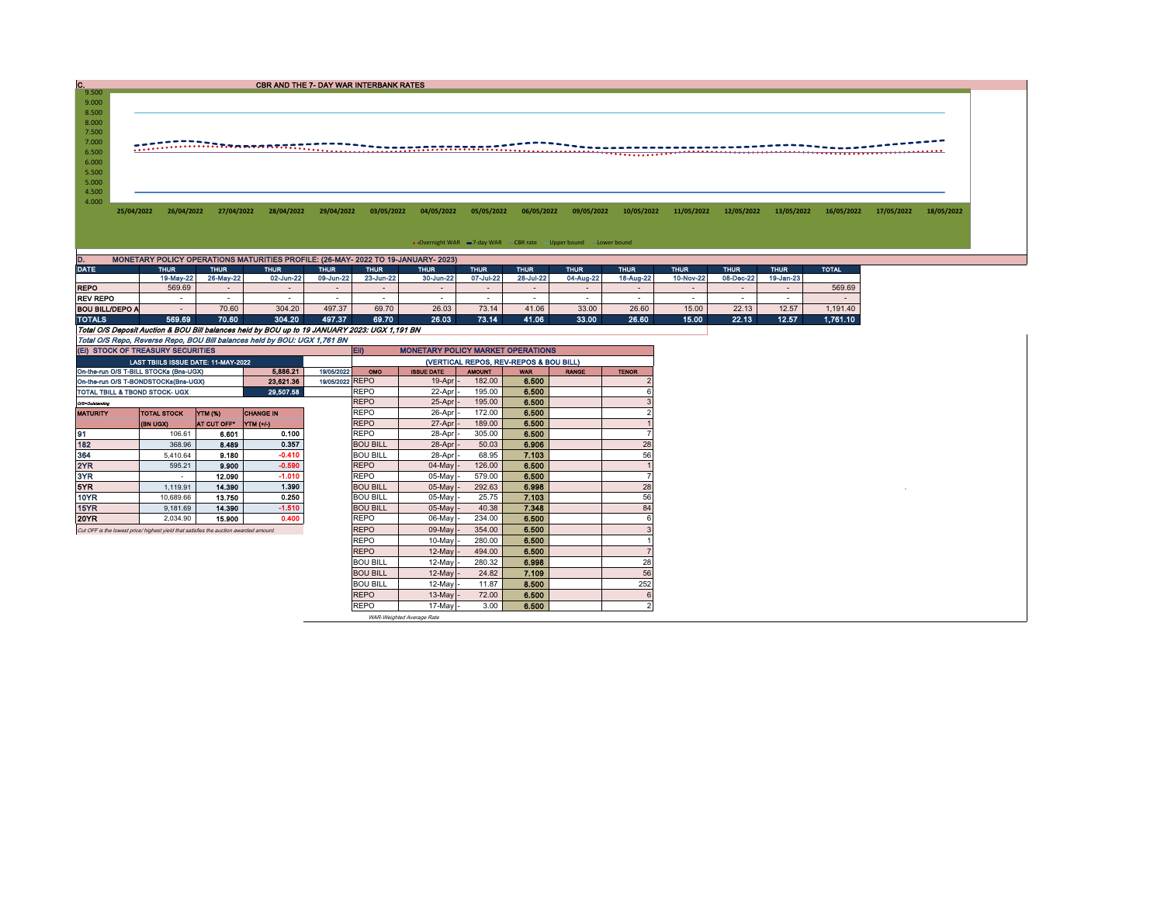| IC.                                                                                  |                                        |                        | <b>CBR AND THE 7- DAY WAR INTERBANK RATES</b>                                                 |                  |                                |                                          |                  |                                        |                                                                    |                |                |                 |                |                      |            |            |
|--------------------------------------------------------------------------------------|----------------------------------------|------------------------|-----------------------------------------------------------------------------------------------|------------------|--------------------------------|------------------------------------------|------------------|----------------------------------------|--------------------------------------------------------------------|----------------|----------------|-----------------|----------------|----------------------|------------|------------|
| 9.500<br>9.000                                                                       |                                        |                        |                                                                                               |                  |                                |                                          |                  |                                        |                                                                    |                |                |                 |                |                      |            |            |
| 8.500<br>8.000                                                                       |                                        |                        |                                                                                               |                  |                                |                                          |                  |                                        |                                                                    |                |                |                 |                |                      |            |            |
| 7.500                                                                                |                                        |                        |                                                                                               |                  |                                |                                          |                  |                                        |                                                                    |                |                |                 |                |                      |            |            |
| 7.000                                                                                |                                        |                        | <u> ETARRARAREN ERARGIA ETA</u>                                                               |                  |                                |                                          |                  |                                        |                                                                    |                |                |                 |                |                      |            |            |
| 6.500                                                                                |                                        |                        |                                                                                               |                  |                                |                                          |                  |                                        |                                                                    |                |                |                 |                |                      |            |            |
| 6.000                                                                                |                                        |                        |                                                                                               |                  |                                |                                          |                  |                                        |                                                                    |                |                |                 |                |                      |            |            |
| 5.500<br>5.000                                                                       |                                        |                        |                                                                                               |                  |                                |                                          |                  |                                        |                                                                    |                |                |                 |                |                      |            |            |
| 4.500                                                                                |                                        |                        |                                                                                               |                  |                                |                                          |                  |                                        |                                                                    |                |                |                 |                |                      |            |            |
| 4.000                                                                                |                                        |                        |                                                                                               |                  |                                |                                          |                  |                                        |                                                                    |                |                |                 |                |                      |            |            |
| 25/04/2022                                                                           | 26/04/2022                             | 27/04/2022             | 28/04/2022                                                                                    | 29/04/2022       | 03/05/2022                     | 04/05/2022                               | 05/05/2022       | 06/05/2022                             | 09/05/2022                                                         | 10/05/2022     | 11/05/2022     | 12/05/2022      | 13/05/2022     | 16/05/2022           | 17/05/2022 | 18/05/2022 |
|                                                                                      |                                        |                        |                                                                                               |                  |                                |                                          |                  |                                        |                                                                    |                |                |                 |                |                      |            |            |
|                                                                                      |                                        |                        |                                                                                               |                  |                                |                                          |                  |                                        | • Overnight WAR = 7-day WAR - CBR rate - Upper bound - Lower bound |                |                |                 |                |                      |            |            |
| ID.                                                                                  |                                        |                        | MONETARY POLICY OPERATIONS MATURITIES PROFILE: (26-MAY- 2022 TO 19-JANUARY- 2023)             |                  |                                |                                          |                  |                                        |                                                                    |                |                |                 |                |                      |            |            |
| <b>DATE</b>                                                                          | <b>THUR</b>                            | <b>THUR</b>            | <b>THUR</b>                                                                                   | <b>THUR</b>      | <b>THUR</b>                    | <b>THUR</b>                              | <b>THUR</b>      | <b>THUR</b>                            | <b>THUR</b>                                                        | <b>THUR</b>    | <b>THUR</b>    | <b>THUR</b>     | <b>THUR</b>    | <b>TOTAL</b>         |            |            |
|                                                                                      | 19-May-22                              | 26-May-22              | 02-Jun-22                                                                                     | 09-Jun-22        | 23-Jun-22                      | 30-Jun-22                                | 07-Jul-22        | 28-Jul-22                              | 04-Aug-22                                                          | 18-Aug-22      | 10-Nov-22      | 08-Dec-22       | 19-Jan-23      |                      |            |            |
| <b>REPO</b>                                                                          | 569.69                                 |                        |                                                                                               | $\sim$           | $\sim$                         | $\sim$                                   | $\sim$           | $\sim$                                 | $\sim$                                                             |                | $\sim$         | $\sim$          | $\sim$         | 569.69               |            |            |
| <b>REV REPO</b>                                                                      | $\sim$                                 | $\sim$<br>70.60        | $\sim$                                                                                        | $\sim$           | $\sim$                         | $\sim$<br>26.03                          | $\sim$           | $\sim$                                 | $\sim$                                                             | $\sim$         | $\sim$         | $\sim$<br>22.13 | $\sim$         | п.                   |            |            |
| <b>BOU BILL/DEPO A</b><br><b>TOTALS</b>                                              | $\sim$<br>569.69                       | 70.60                  | 304.20<br>304.20                                                                              | 497.37<br>497.37 | 69.70<br>69.70                 | 26.03                                    | 73.14<br>73.14   | 41.06<br>41.06                         | 33.00<br>33.00                                                     | 26.60<br>26.60 | 15.00<br>15.00 | 22.13           | 12.57<br>12.57 | 1,191.40<br>1,761.10 |            |            |
|                                                                                      |                                        |                        | Total O/S Deposit Auction & BOU Bill balances held by BOU up to 19 JANUARY 2023: UGX 1,191 BN |                  |                                |                                          |                  |                                        |                                                                    |                |                |                 |                |                      |            |            |
|                                                                                      |                                        |                        | Total O/S Repo, Reverse Repo, BOU Bill balances held by BOU: UGX 1,761 BN                     |                  |                                |                                          |                  |                                        |                                                                    |                |                |                 |                |                      |            |            |
|                                                                                      | (EI) STOCK OF TREASURY SECURITIES      |                        |                                                                                               |                  | EII)                           | <b>MONETARY POLICY MARKET OPERATIONS</b> |                  |                                        |                                                                    |                |                |                 |                |                      |            |            |
|                                                                                      | LAST TBIILS ISSUE DATE: 11-MAY-2022    |                        |                                                                                               |                  |                                |                                          |                  | (VERTICAL REPOS, REV-REPOS & BOU BILL) |                                                                    |                |                |                 |                |                      |            |            |
|                                                                                      | On-the-run O/S T-BILL STOCKs (Bns-UGX) |                        | 5,886.21                                                                                      | 19/05/2022       | OMO                            | <b>ISSUE DATE</b>                        | <b>AMOUNT</b>    | <b>WAR</b>                             | <b>RANGE</b>                                                       | <b>TENOR</b>   |                |                 |                |                      |            |            |
|                                                                                      | On-the-run O/S T-BONDSTOCKs(Bns-UGX)   |                        | 23,621.36                                                                                     | 19/05/2022 REPO  |                                | 19-Apr                                   | 182.00           | 6.500                                  |                                                                    |                |                |                 |                |                      |            |            |
| TOTAL TBILL & TBOND STOCK- UGX                                                       |                                        |                        | 29,507.58                                                                                     |                  | <b>REPO</b>                    | 22-Apr                                   | 195.00           | 6.500                                  |                                                                    | 6              |                |                 |                |                      |            |            |
| O/S-Outstanding                                                                      |                                        |                        |                                                                                               |                  | <b>REPO</b><br><b>REPO</b>     | 25-Apr                                   | 195.00<br>172.00 | 6.500<br>6.500                         |                                                                    | $\mathcal{D}$  |                |                 |                |                      |            |            |
| <b>MATURITY</b>                                                                      | <b>TOTAL STOCK</b><br>(BN UGX)         | YTM (%)<br>AT CUT OFF* | <b>CHANGE IN</b><br>YTM (+/-)                                                                 |                  | <b>REPO</b>                    | 26-Apr<br>27-Apr                         | 189.00           | 6.500                                  |                                                                    |                |                |                 |                |                      |            |            |
| 91                                                                                   | 106.61                                 | 6.601                  | 0.100                                                                                         |                  | <b>REPO</b>                    | 28-Apr                                   | 305.00           | 6.500                                  |                                                                    | $\overline{7}$ |                |                 |                |                      |            |            |
| 182                                                                                  | 368.96                                 | 8.489                  | 0.357                                                                                         |                  | <b>BOU BILL</b>                | 28-Apr                                   | 50.03            | 6.906                                  |                                                                    | 28             |                |                 |                |                      |            |            |
| 364                                                                                  | 5,410.64                               | 9.180                  | $-0.410$                                                                                      |                  | <b>BOU BILL</b>                | 28-Apr                                   | 68.95            | 7.103                                  |                                                                    | 56             |                |                 |                |                      |            |            |
| 2YR                                                                                  | 595.21                                 | 9.900                  | $-0.590$                                                                                      |                  | <b>REPO</b>                    | 04-May                                   | 126.00           | 6.500                                  |                                                                    |                |                |                 |                |                      |            |            |
| 3YR                                                                                  | $\sim$                                 | 12.090                 | $-1.010$                                                                                      |                  | <b>REPO</b>                    | 05-May                                   | 579.00           | 6,500                                  |                                                                    | $\overline{7}$ |                |                 |                |                      |            |            |
| 5YR                                                                                  | 1.119.91                               | 14,390                 | 1.390                                                                                         |                  | <b>BOU BILL</b>                | 05-May                                   | 292.63           | 6.998                                  |                                                                    | 28             |                |                 |                |                      |            |            |
| <b>10YR</b>                                                                          | 10,689.66                              | 13.750                 | 0.250                                                                                         |                  | <b>BOU BILL</b>                | 05-May                                   | 25.75            | 7.103                                  |                                                                    | 56             |                |                 |                |                      |            |            |
| <b>15YR</b>                                                                          | 9,181.69                               | 14.390                 | $-1.510$                                                                                      |                  | <b>BOU BILL</b>                | 05-May                                   | 40.38            | 7.348                                  |                                                                    | 84             |                |                 |                |                      |            |            |
| 20YR                                                                                 | 2,034.90                               | 15.900                 | 0.400                                                                                         |                  | <b>REPO</b>                    | 06-May                                   | 234.00           | 6.500                                  |                                                                    | 6              |                |                 |                |                      |            |            |
| Cut OFF is the lowest price/ highest yield that satisfies the auction awarded amount |                                        |                        |                                                                                               |                  | <b>REPO</b>                    | 09-May                                   | 354.00           | 6.500                                  |                                                                    |                |                |                 |                |                      |            |            |
|                                                                                      |                                        |                        |                                                                                               |                  | <b>REPO</b>                    | 10-May                                   | 280.00           | 6.500                                  |                                                                    |                |                |                 |                |                      |            |            |
|                                                                                      |                                        |                        |                                                                                               |                  | <b>REPO</b><br><b>BOU BILL</b> | 12-May<br>12-May                         | 494.00<br>280.32 | 6.500<br>6.998                         |                                                                    | 28             |                |                 |                |                      |            |            |
|                                                                                      |                                        |                        |                                                                                               |                  | <b>BOU BILL</b>                | 12-May                                   | 24.82            | 7.109                                  |                                                                    | 56             |                |                 |                |                      |            |            |
|                                                                                      |                                        |                        |                                                                                               |                  | <b>BOU BILL</b>                | 12-May                                   | 11.87            | 8,500                                  |                                                                    | 252            |                |                 |                |                      |            |            |
|                                                                                      |                                        |                        |                                                                                               |                  | <b>REPO</b>                    | 13-May                                   | 72.00            | 6.500                                  |                                                                    | 6              |                |                 |                |                      |            |            |
|                                                                                      |                                        |                        |                                                                                               |                  | <b>REPO</b>                    | 17-May                                   | 3.00             | 6.500                                  |                                                                    | $\mathcal{P}$  |                |                 |                |                      |            |            |
|                                                                                      |                                        |                        |                                                                                               |                  |                                |                                          |                  |                                        |                                                                    |                |                |                 |                |                      |            |            |

WAR-Weighted Average Rate